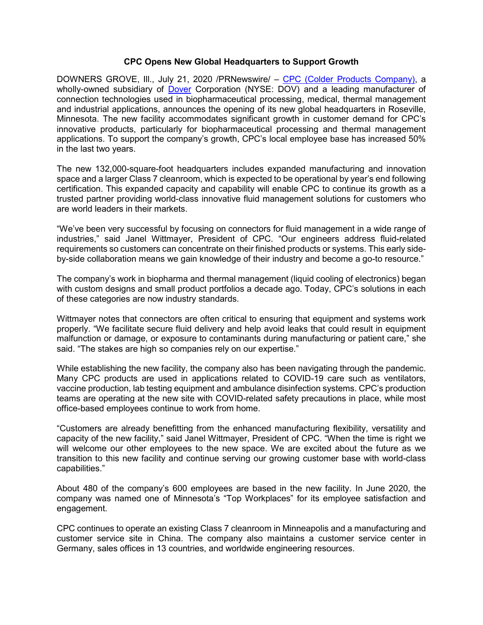### **CPC Opens New Global Headquarters to Support Growth**

DOWNERS GROVE, Ill., July 21, 2020 /PRNewswire/ – [CPC \(Colder Products Company\),](https://www.cpcworldwide.com/) a wholly-owned subsidiary of [Dover](https://www.dovercorporation.com/) Corporation (NYSE: DOV) and a leading manufacturer of connection technologies used in biopharmaceutical processing, medical, thermal management and industrial applications, announces the opening of its new global headquarters in Roseville, Minnesota. The new facility accommodates significant growth in customer demand for CPC's innovative products, particularly for biopharmaceutical processing and thermal management applications. To support the company's growth, CPC's local employee base has increased 50% in the last two years.

The new 132,000-square-foot headquarters includes expanded manufacturing and innovation space and a larger Class 7 cleanroom, which is expected to be operational by year's end following certification. This expanded capacity and capability will enable CPC to continue its growth as a trusted partner providing world-class innovative fluid management solutions for customers who are world leaders in their markets.

"We've been very successful by focusing on connectors for fluid management in a wide range of industries," said Janel Wittmayer, President of CPC. "Our engineers address fluid-related requirements so customers can concentrate on their finished products or systems. This early sideby-side collaboration means we gain knowledge of their industry and become a go-to resource."

The company's work in biopharma and thermal management (liquid cooling of electronics) began with custom designs and small product portfolios a decade ago. Today, CPC's solutions in each of these categories are now industry standards.

Wittmayer notes that connectors are often critical to ensuring that equipment and systems work properly. "We facilitate secure fluid delivery and help avoid leaks that could result in equipment malfunction or damage, or exposure to contaminants during manufacturing or patient care," she said. "The stakes are high so companies rely on our expertise."

While establishing the new facility, the company also has been navigating through the pandemic. Many CPC products are used in applications related to COVID-19 care such as ventilators, vaccine production, lab testing equipment and ambulance disinfection systems. CPC's production teams are operating at the new site with COVID-related safety precautions in place, while most office-based employees continue to work from home.

"Customers are already benefitting from the enhanced manufacturing flexibility, versatility and capacity of the new facility," said Janel Wittmayer, President of CPC. "When the time is right we will welcome our other employees to the new space. We are excited about the future as we transition to this new facility and continue serving our growing customer base with world-class capabilities."

About 480 of the company's 600 employees are based in the new facility. In June 2020, the company was named one of Minnesota's "Top Workplaces" for its employee satisfaction and engagement.

CPC continues to operate an existing Class 7 cleanroom in Minneapolis and a manufacturing and customer service site in China. The company also maintains a customer service center in Germany, sales offices in 13 countries, and worldwide engineering resources.